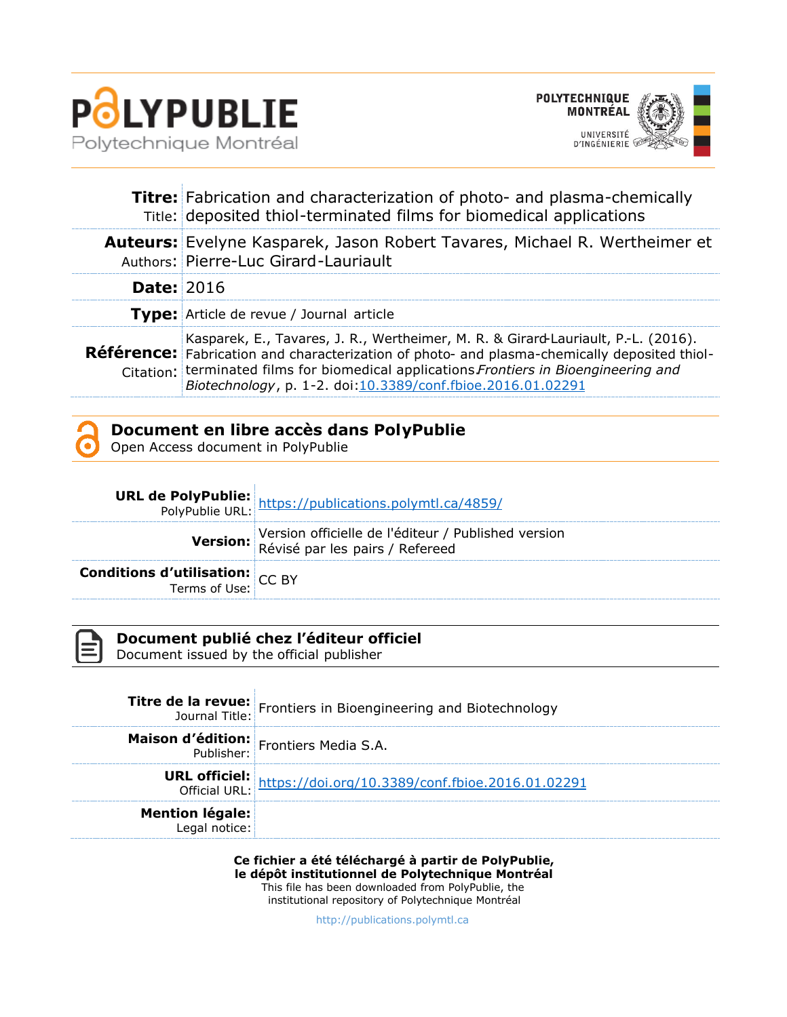



|                   | Titre: Fabrication and characterization of photo- and plasma-chemically<br>Title: deposited thiol-terminated films for biomedical applications                                                                                                                                                                                                    |  |
|-------------------|---------------------------------------------------------------------------------------------------------------------------------------------------------------------------------------------------------------------------------------------------------------------------------------------------------------------------------------------------|--|
|                   | <b>Auteurs:</b> Evelyne Kasparek, Jason Robert Tavares, Michael R. Wertheimer et<br>Authors: Pierre-Luc Girard-Lauriault                                                                                                                                                                                                                          |  |
| <b>Date: 2016</b> |                                                                                                                                                                                                                                                                                                                                                   |  |
|                   | Type: Article de revue / Journal article                                                                                                                                                                                                                                                                                                          |  |
|                   | Kasparek, E., Tavares, J. R., Wertheimer, M. R. & Girard-Lauriault, P.-L. (2016).<br><b>Référence:</b> Fabrication and characterization of photo- and plasma-chemically deposited thiol-<br>Citation: terminated films for biomedical applications Frontiers in Bioengineering and<br>Biotechnology, p. 1-2. doi:10.3389/conf.fbioe.2016.01.02291 |  |



## **Document en libre accès dans PolyPublie**

Open Access document in PolyPublie

|                                                               | <b>URL de PolyPublie:</b> https://publications.polymtl.ca/4859/<br>PolyPublie URL: https://publications.polymtl.ca/4859/ |
|---------------------------------------------------------------|--------------------------------------------------------------------------------------------------------------------------|
|                                                               | Version officielle de l'éditeur / Published version<br>Révisé par les pairs / Refereed                                   |
| <b>Conditions d'utilisation:</b> CC BY<br>Terms of Use: CC BY |                                                                                                                          |



### **Document publié chez l'éditeur officiel**

Document issued by the official publisher

|                        | <b>Titre de la revue:</b> Frontiers in Bioengineering and Biotechnology                |
|------------------------|----------------------------------------------------------------------------------------|
|                        | <b>Maison d'édition:</b> Frontiers Media S.A.                                          |
|                        | <b>URL officiel:</b><br>Official URL: https://doi.org/10.3389/conf.fbioe.2016.01.02291 |
| <b>Mention légale:</b> |                                                                                        |

**Ce fichier a été téléchargé à partir de PolyPublie, le dépôt institutionnel de Polytechnique Montréal** This file has been downloaded from PolyPublie, the institutional repository of Polytechnique Montréal

[http://publications.polymtl.ca](http://publications.polymtl.ca/)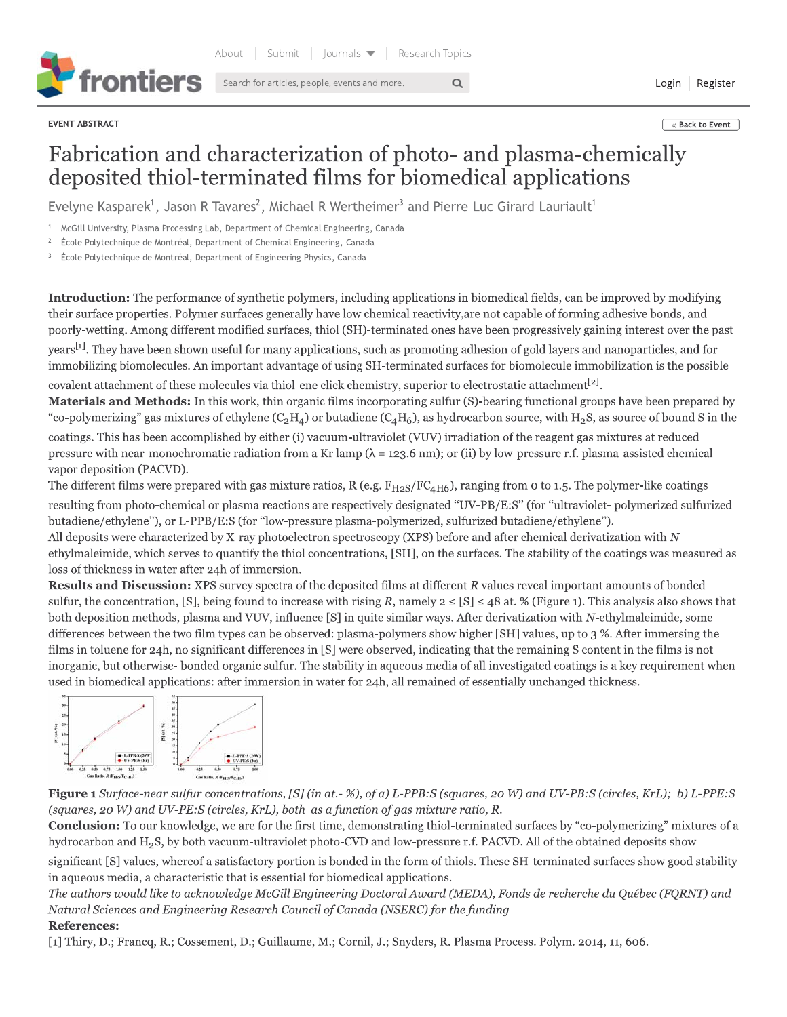

EVENT ABSTRACT

Login Register

#### « Back to Event

# Fabrication and characterization of photo- and plasma-chemically deposited thiol-terminated films for biomedical applications

 $\alpha$ 

Evelyne Kasparek<sup>1</sup>, Jason R Tavares<sup>2</sup>, Michael R Wertheimer<sup>3</sup> and Pierre-Luc Girard-Lauriault<sup>1</sup>

McGill University, Plasma Processing Lab, Department of Chemical Engineering, Canada

École Polytechnique de Montréal, Department of Chemical Engineering, Canada

École Polytechnique de Montréal, Department of Engineering Physics, Canada

**Introduction:** The performance of synthetic polymers, including applications in biomedical fields, can be improved by modifying their surface properties. Polymer surfaces generally have low chemical reactivity, are not capable of forming adhesive bonds, and poorly-wetting. Among different modified surfaces, thiol (SH)-terminated ones have been progressively gaining interest over the past years<sup>[1]</sup>. They have been shown useful for many applications, such as promoting adhesion of gold layers and nanoparticles, and for immobilizing biomolecules. An important advantage of using SH-terminated surfaces for biomolecule immobilization is the possible covalent attachment of these molecules via thiol-ene click chemistry, superior to electrostatic attachment<sup>[2]</sup>.

Materials and Methods: In this work, thin organic films incorporating sulfur (S)-bearing functional groups have been prepared by "co-polymerizing" gas mixtures of ethylene (C<sub>2</sub>H<sub>4</sub>) or butadiene (C<sub>4</sub>H<sub>6</sub>), as hydrocarbon source, with H<sub>2</sub>S, as source of bound S in the coatings. This has been accomplished by either (i) vacuum-ultraviolet (VUV) irradiation of the reagent gas mixtures at reduced pressure with near-monochromatic radiation from a Kr lamp ( $\lambda$  = 123.6 nm); or (ii) by low-pressure r.f. plasma-assisted chemical vapor deposition (PACVD).

The different films were prepared with gas mixture ratios, R (e.g.  $F_{H2S}/FC_{4H6}$ ), ranging from 0 to 1.5. The polymer-like coatings resulting from photo-chemical or plasma reactions are respectively designated "UV-PB/E:S" (for "ultraviolet-polymerized sulfurized butadiene/ethylene"), or L-PPB/E:S (for "low-pressure plasma-polymerized, sulfurized butadiene/ethylene").

All deposits were characterized by X-ray photoelectron spectroscopy (XPS) before and after chemical derivatization with Nethylmaleimide, which serves to quantify the thiol concentrations, [SH], on the surfaces. The stability of the coatings was measured as loss of thickness in water after 24h of immersion.

Results and Discussion: XPS survey spectra of the deposited films at different R values reveal important amounts of bonded sulfur, the concentration, [S], being found to increase with rising R, namely  $2 \leq [S] \leq 48$  at. % (Figure 1). This analysis also shows that both deposition methods, plasma and VUV, influence [S] in quite similar ways. After derivatization with N-ethylmaleimide, some differences between the two film types can be observed: plasma-polymers show higher [SH] values, up to 3 %. After immersing the films in toluene for 24h, no significant differences in [S] were observed, indicating that the remaining S content in the films is not inorganic, but otherwise- bonded organic sulfur. The stability in aqueous media of all investigated coatings is a key requirement when used in biomedical applications: after immersion in water for 24h, all remained of essentially unchanged thickness.



Figure 1 Surface-near sulfur concentrations, [S] (in at.-%), of a) L-PPB:S (squares, 20 W) and UV-PB:S (circles, KrL); b) L-PPE:S (squares, 20 W) and UV-PE:S (circles, KrL), both as a function of gas mixture ratio, R.

**Conclusion:** To our knowledge, we are for the first time, demonstrating thiol-terminated surfaces by "co-polymerizing" mixtures of a hydrocarbon and H<sub>2</sub>S, by both vacuum-ultraviolet photo-CVD and low-pressure r.f. PACVD. All of the obtained deposits show

significant [S] values, whereof a satisfactory portion is bonded in the form of thiols. These SH-terminated surfaces show good stability in aqueous media, a characteristic that is essential for biomedical applications.

The authors would like to acknowledge McGill Engineering Doctoral Award (MEDA), Fonds de recherche du Québec (FQRNT) and Natural Sciences and Engineering Research Council of Canada (NSERC) for the funding

### **References:**

[1] Thiry, D.; Francq, R.; Cossement, D.; Guillaume, M.; Cornil, J.; Snyders, R. Plasma Process. Polym. 2014, 11, 606.